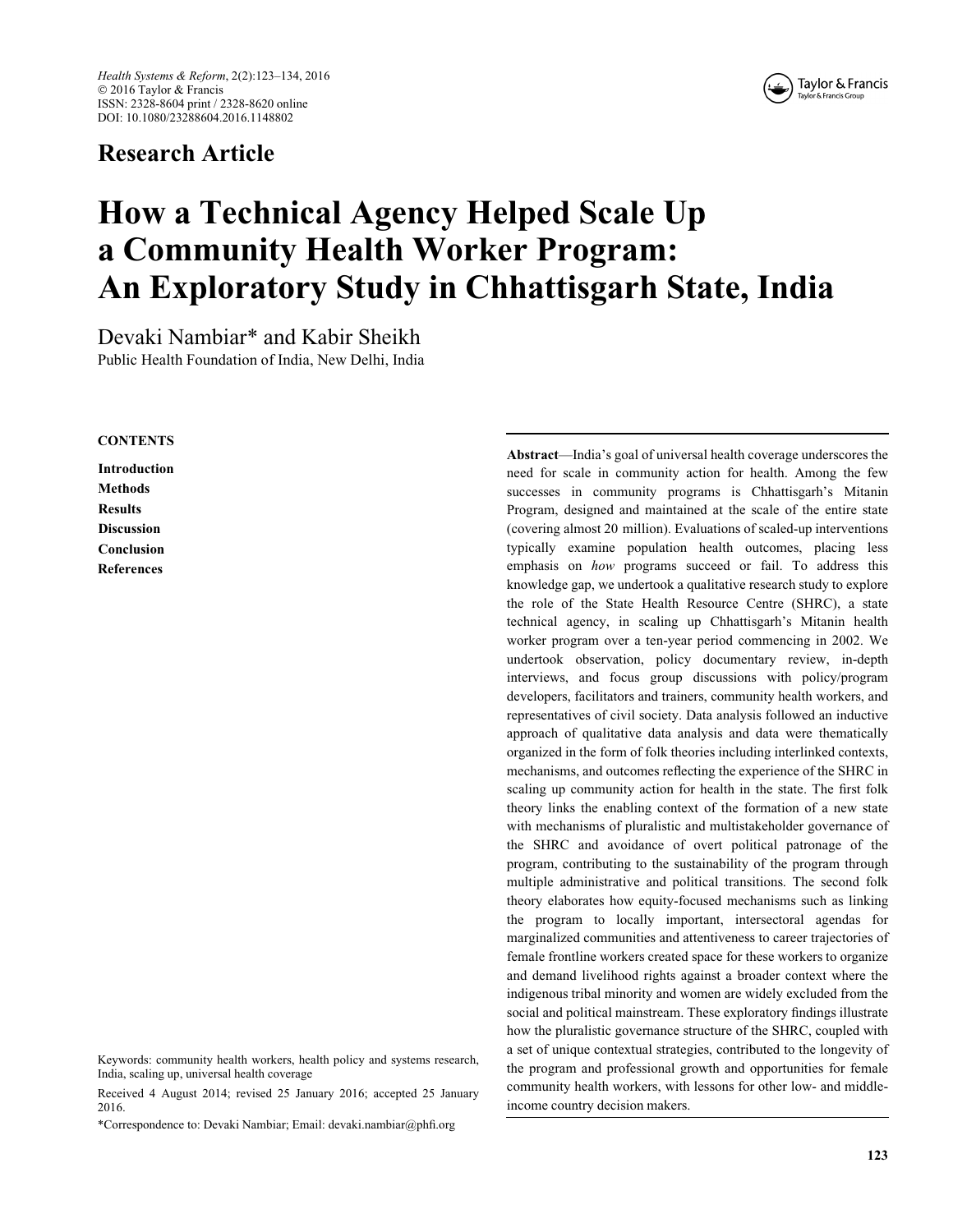# Research Article



# How a Technical Agency Helped Scale Up a Community Health Worker Program: An Exploratory Study in Chhattisgarh State, India

Devaki Nambiar\* and Kabir Sheikh Public Health Foundation of India, New Delhi, India

#### **CONTENTS**

Introduction **Methods** Results Discussion Conclusion References

Keywords: community health workers, health policy and systems research, India, scaling up, universal health coverage

Received 4 August 2014; revised 25 January 2016; accepted 25 January 2016.

\*Correspondence to: Devaki Nambiar; Email: devaki.nambiar@phfi.org

Abstract—India's goal of universal health coverage underscores the need for scale in community action for health. Among the few successes in community programs is Chhattisgarh's Mitanin Program, designed and maintained at the scale of the entire state (covering almost 20 million). Evaluations of scaled-up interventions typically examine population health outcomes, placing less emphasis on how programs succeed or fail. To address this knowledge gap, we undertook a qualitative research study to explore the role of the State Health Resource Centre (SHRC), a state technical agency, in scaling up Chhattisgarh's Mitanin health worker program over a ten-year period commencing in 2002. We undertook observation, policy documentary review, in-depth interviews, and focus group discussions with policy/program developers, facilitators and trainers, community health workers, and representatives of civil society. Data analysis followed an inductive approach of qualitative data analysis and data were thematically organized in the form of folk theories including interlinked contexts, mechanisms, and outcomes reflecting the experience of the SHRC in scaling up community action for health in the state. The first folk theory links the enabling context of the formation of a new state with mechanisms of pluralistic and multistakeholder governance of the SHRC and avoidance of overt political patronage of the program, contributing to the sustainability of the program through multiple administrative and political transitions. The second folk theory elaborates how equity-focused mechanisms such as linking the program to locally important, intersectoral agendas for marginalized communities and attentiveness to career trajectories of female frontline workers created space for these workers to organize and demand livelihood rights against a broader context where the indigenous tribal minority and women are widely excluded from the social and political mainstream. These exploratory findings illustrate how the pluralistic governance structure of the SHRC, coupled with a set of unique contextual strategies, contributed to the longevity of the program and professional growth and opportunities for female community health workers, with lessons for other low- and middleincome country decision makers.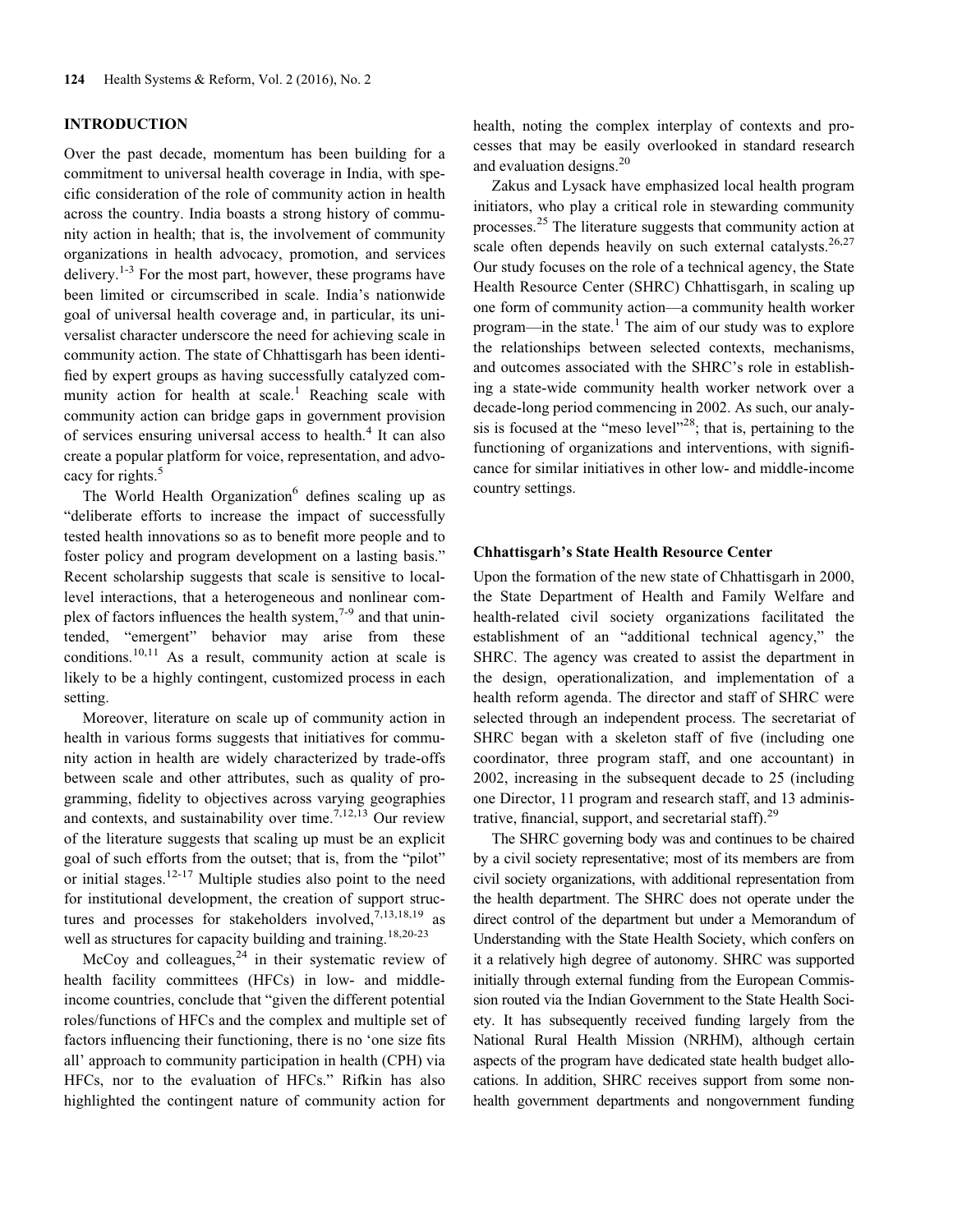#### INTRODUCTION

Over the past decade, momentum has been building for a commitment to universal health coverage in India, with specific consideration of the role of community action in health across the country. India boasts a strong history of community action in health; that is, the involvement of community organizations in health advocacy, promotion, and services delivery.<sup>1-3</sup> For the most part, however, these programs have been limited or circumscribed in scale. India's nationwide goal of universal health coverage and, in particular, its universalist character underscore the need for achieving scale in community action. The state of Chhattisgarh has been identified by expert groups as having successfully catalyzed community action for health at  $scale<sup>1</sup>$  Reaching scale with community action can bridge gaps in government provision of services ensuring universal access to health.<sup>4</sup> It can also create a popular platform for voice, representation, and advocacy for rights.<sup>5</sup>

The World Health Organization $6$  defines scaling up as "deliberate efforts to increase the impact of successfully tested health innovations so as to benefit more people and to foster policy and program development on a lasting basis." Recent scholarship suggests that scale is sensitive to locallevel interactions, that a heterogeneous and nonlinear complex of factors influences the health system, $7-9$  and that unintended, "emergent" behavior may arise from these conditions.10,11 As a result, community action at scale is likely to be a highly contingent, customized process in each setting.

Moreover, literature on scale up of community action in health in various forms suggests that initiatives for community action in health are widely characterized by trade-offs between scale and other attributes, such as quality of programming, fidelity to objectives across varying geographies and contexts, and sustainability over time.<sup>7,12,13</sup> Our review of the literature suggests that scaling up must be an explicit goal of such efforts from the outset; that is, from the "pilot" or initial stages.<sup>12-17</sup> Multiple studies also point to the need for institutional development, the creation of support structures and processes for stakeholders involved, $7,13,18,19$  as well as structures for capacity building and training.<sup>18,20-23</sup>

McCoy and colleagues,  $24$  in their systematic review of health facility committees (HFCs) in low- and middleincome countries, conclude that "given the different potential roles/functions of HFCs and the complex and multiple set of factors influencing their functioning, there is no 'one size fits all' approach to community participation in health (CPH) via HFCs, nor to the evaluation of HFCs." Rifkin has also highlighted the contingent nature of community action for health, noting the complex interplay of contexts and processes that may be easily overlooked in standard research and evaluation designs.<sup>20</sup>

Zakus and Lysack have emphasized local health program initiators, who play a critical role in stewarding community processes.<sup>25</sup> The literature suggests that community action at scale often depends heavily on such external catalysts.  $26,27$ Our study focuses on the role of a technical agency, the State Health Resource Center (SHRC) Chhattisgarh, in scaling up one form of community action—a community health worker program—in the state.<sup>1</sup> The aim of our study was to explore the relationships between selected contexts, mechanisms, and outcomes associated with the SHRC's role in establishing a state-wide community health worker network over a decade-long period commencing in 2002. As such, our analysis is focused at the "meso level"<sup>28</sup>; that is, pertaining to the functioning of organizations and interventions, with significance for similar initiatives in other low- and middle-income country settings.

#### Chhattisgarh's State Health Resource Center

Upon the formation of the new state of Chhattisgarh in 2000, the State Department of Health and Family Welfare and health-related civil society organizations facilitated the establishment of an "additional technical agency," the SHRC. The agency was created to assist the department in the design, operationalization, and implementation of a health reform agenda. The director and staff of SHRC were selected through an independent process. The secretariat of SHRC began with a skeleton staff of five (including one coordinator, three program staff, and one accountant) in 2002, increasing in the subsequent decade to 25 (including one Director, 11 program and research staff, and 13 administrative, financial, support, and secretarial staff).<sup>29</sup>

The SHRC governing body was and continues to be chaired by a civil society representative; most of its members are from civil society organizations, with additional representation from the health department. The SHRC does not operate under the direct control of the department but under a Memorandum of Understanding with the State Health Society, which confers on it a relatively high degree of autonomy. SHRC was supported initially through external funding from the European Commission routed via the Indian Government to the State Health Society. It has subsequently received funding largely from the National Rural Health Mission (NRHM), although certain aspects of the program have dedicated state health budget allocations. In addition, SHRC receives support from some nonhealth government departments and nongovernment funding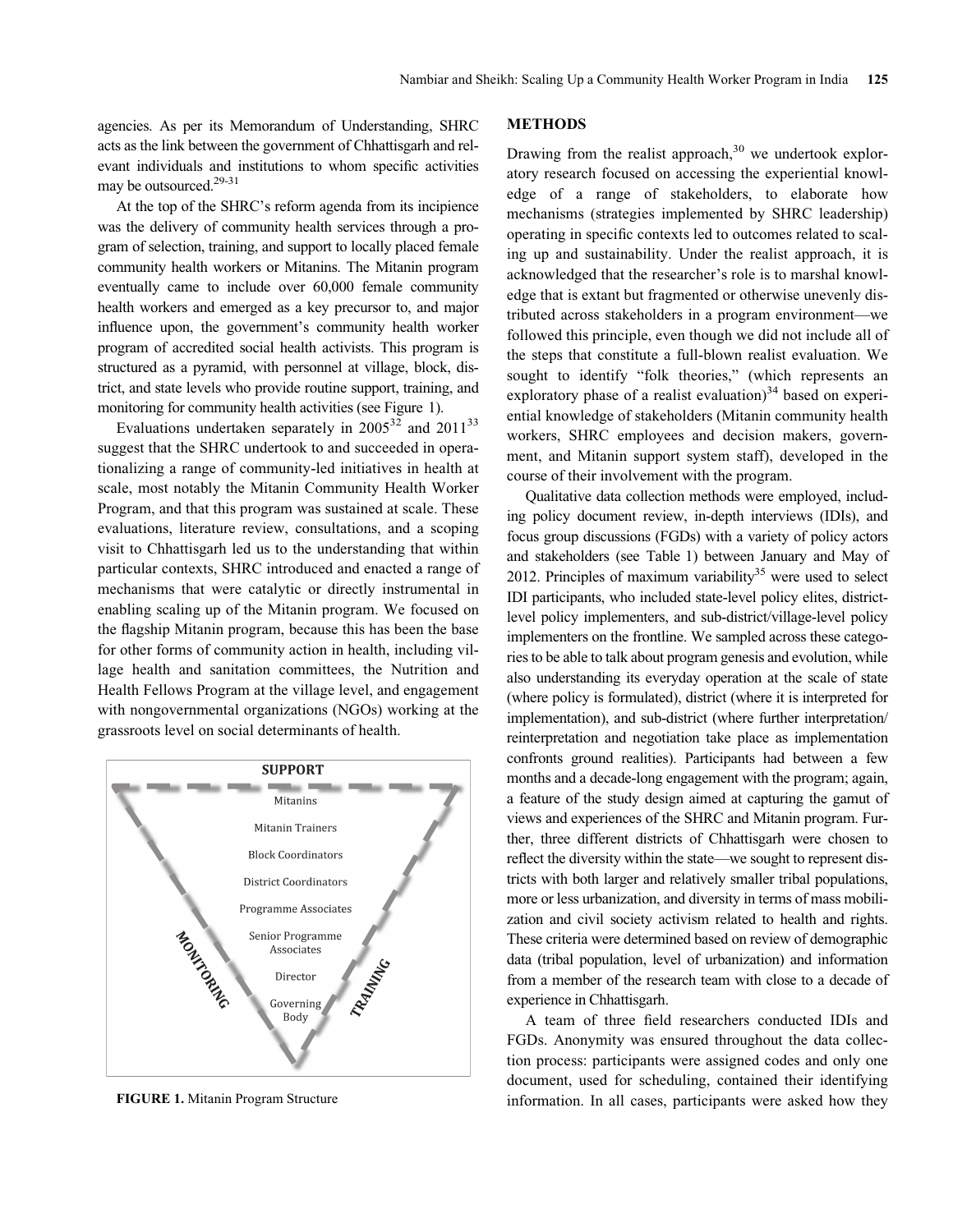agencies. As per its Memorandum of Understanding, SHRC acts as the link between the government of Chhattisgarh and relevant individuals and institutions to whom specific activities may be outsourced.<sup>29-31</sup>

At the top of the SHRC's reform agenda from its incipience was the delivery of community health services through a program of selection, training, and support to locally placed female community health workers or Mitanins. The Mitanin program eventually came to include over 60,000 female community health workers and emerged as a key precursor to, and major influence upon, the government's community health worker program of accredited social health activists. This program is structured as a pyramid, with personnel at village, block, district, and state levels who provide routine support, training, and monitoring for community health activities (see Figure 1).

Evaluations undertaken separately in 2005<sup>32</sup> and 2011<sup>33</sup> suggest that the SHRC undertook to and succeeded in operationalizing a range of community-led initiatives in health at scale, most notably the Mitanin Community Health Worker Program, and that this program was sustained at scale. These evaluations, literature review, consultations, and a scoping visit to Chhattisgarh led us to the understanding that within particular contexts, SHRC introduced and enacted a range of mechanisms that were catalytic or directly instrumental in enabling scaling up of the Mitanin program. We focused on the flagship Mitanin program, because this has been the base for other forms of community action in health, including village health and sanitation committees, the Nutrition and Health Fellows Program at the village level, and engagement with nongovernmental organizations (NGOs) working at the grassroots level on social determinants of health.



# **METHODS**

Drawing from the realist approach, $30$  we undertook exploratory research focused on accessing the experiential knowledge of a range of stakeholders, to elaborate how mechanisms (strategies implemented by SHRC leadership) operating in specific contexts led to outcomes related to scaling up and sustainability. Under the realist approach, it is acknowledged that the researcher's role is to marshal knowledge that is extant but fragmented or otherwise unevenly distributed across stakeholders in a program environment—we followed this principle, even though we did not include all of the steps that constitute a full-blown realist evaluation. We sought to identify "folk theories," (which represents an exploratory phase of a realist evaluation) $34$  based on experiential knowledge of stakeholders (Mitanin community health workers, SHRC employees and decision makers, government, and Mitanin support system staff), developed in the course of their involvement with the program.

Qualitative data collection methods were employed, including policy document review, in-depth interviews (IDIs), and focus group discussions (FGDs) with a variety of policy actors and stakeholders (see Table 1) between January and May of 2012. Principles of maximum variability<sup>35</sup> were used to select IDI participants, who included state-level policy elites, districtlevel policy implementers, and sub-district/village-level policy implementers on the frontline. We sampled across these categories to be able to talk about program genesis and evolution, while also understanding its everyday operation at the scale of state (where policy is formulated), district (where it is interpreted for implementation), and sub-district (where further interpretation/ reinterpretation and negotiation take place as implementation confronts ground realities). Participants had between a few months and a decade-long engagement with the program; again, a feature of the study design aimed at capturing the gamut of views and experiences of the SHRC and Mitanin program. Further, three different districts of Chhattisgarh were chosen to reflect the diversity within the state—we sought to represent districts with both larger and relatively smaller tribal populations, more or less urbanization, and diversity in terms of mass mobilization and civil society activism related to health and rights. These criteria were determined based on review of demographic data (tribal population, level of urbanization) and information from a member of the research team with close to a decade of experience in Chhattisgarh.

A team of three field researchers conducted IDIs and FGDs. Anonymity was ensured throughout the data collection process: participants were assigned codes and only one document, used for scheduling, contained their identifying FIGURE 1. Mitanin Program Structure information. In all cases, participants were asked how they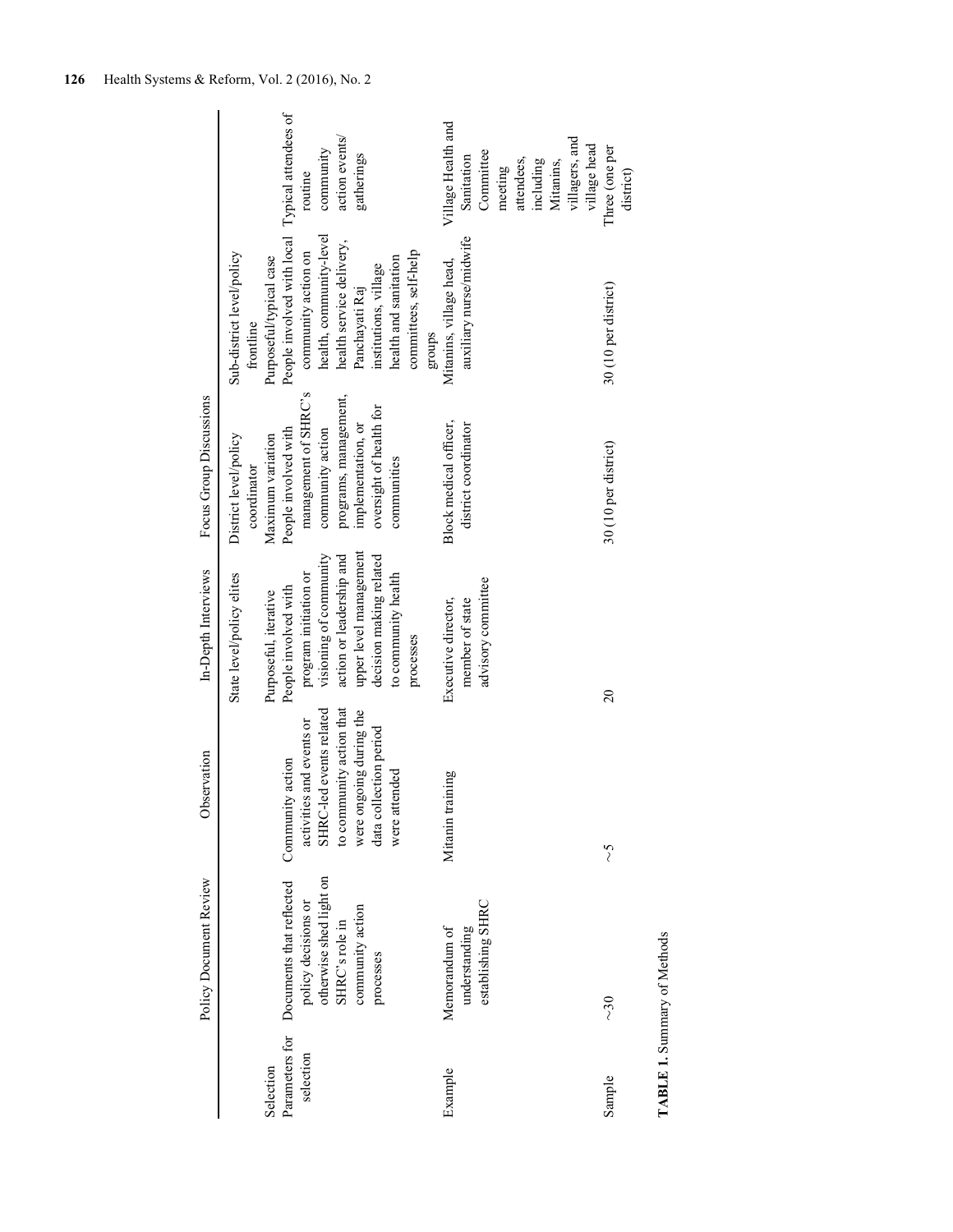|                             | Policy Document Review                                                                                                        | Observation                                                                                                                                                               | In-Depth Interviews                                                                                                                                                                          | Focus Group Discussions                                                                                                                                   |                                                                                                                                                                                                                                      |                                                                                                                                    |
|-----------------------------|-------------------------------------------------------------------------------------------------------------------------------|---------------------------------------------------------------------------------------------------------------------------------------------------------------------------|----------------------------------------------------------------------------------------------------------------------------------------------------------------------------------------------|-----------------------------------------------------------------------------------------------------------------------------------------------------------|--------------------------------------------------------------------------------------------------------------------------------------------------------------------------------------------------------------------------------------|------------------------------------------------------------------------------------------------------------------------------------|
| Selection                   |                                                                                                                               |                                                                                                                                                                           | State level/policy elites<br>Purposeful, iterative                                                                                                                                           | District level/policy<br>Maximum variation<br>coordinator                                                                                                 | Sub-district level/policy<br>Purposeful/typical case<br>frontline                                                                                                                                                                    |                                                                                                                                    |
| Parameters for<br>selection | otherwise shed light on<br>Documents that reflected<br>policy decisions or<br>community action<br>SHRC's role in<br>processes | to community action that<br>SHRC-led events related<br>were ongoing during the<br>activities and events or<br>data collection period<br>Community action<br>were attended | upper level management<br>visioning of community<br>action or leadership and<br>decision making related<br>to community health<br>program initiation or<br>People involved with<br>processes | management of SHRC's<br>programs, management,<br>oversight of health for<br>implementation, or<br>People involved with<br>community action<br>communities | People involved with local Typical attendees of<br>health, community-level<br>health service delivery,<br>committees, self-help<br>community action on<br>health and sanitation<br>institutions, village<br>Panchayati Raj<br>groups | action events/<br>community<br>gatherings<br>routine                                                                               |
| Example                     | establishing SHRC<br>Memorandum of<br>understanding                                                                           | Mitanin training                                                                                                                                                          | advisory committee<br>Executive director,<br>member of state                                                                                                                                 | Block medical officer,<br>district coordinator                                                                                                            | auxiliary nurse/midwife<br>Mitanins, village head,                                                                                                                                                                                   | Village Health and<br>villagers, and<br>village head<br>Committee<br>Sanitation<br>attendees,<br>Mitanins,<br>including<br>meeting |
| Sample                      | <b>TABLE 1. Summary of Methods</b><br>$\sim$ 30                                                                               | $\zeta$                                                                                                                                                                   | $\overline{20}$                                                                                                                                                                              | 30 (10 per district)                                                                                                                                      | 30 (10 per district)                                                                                                                                                                                                                 | Three (one per<br>district)                                                                                                        |

126 Health Systems & Reform, Vol. 2 (2016), No. 2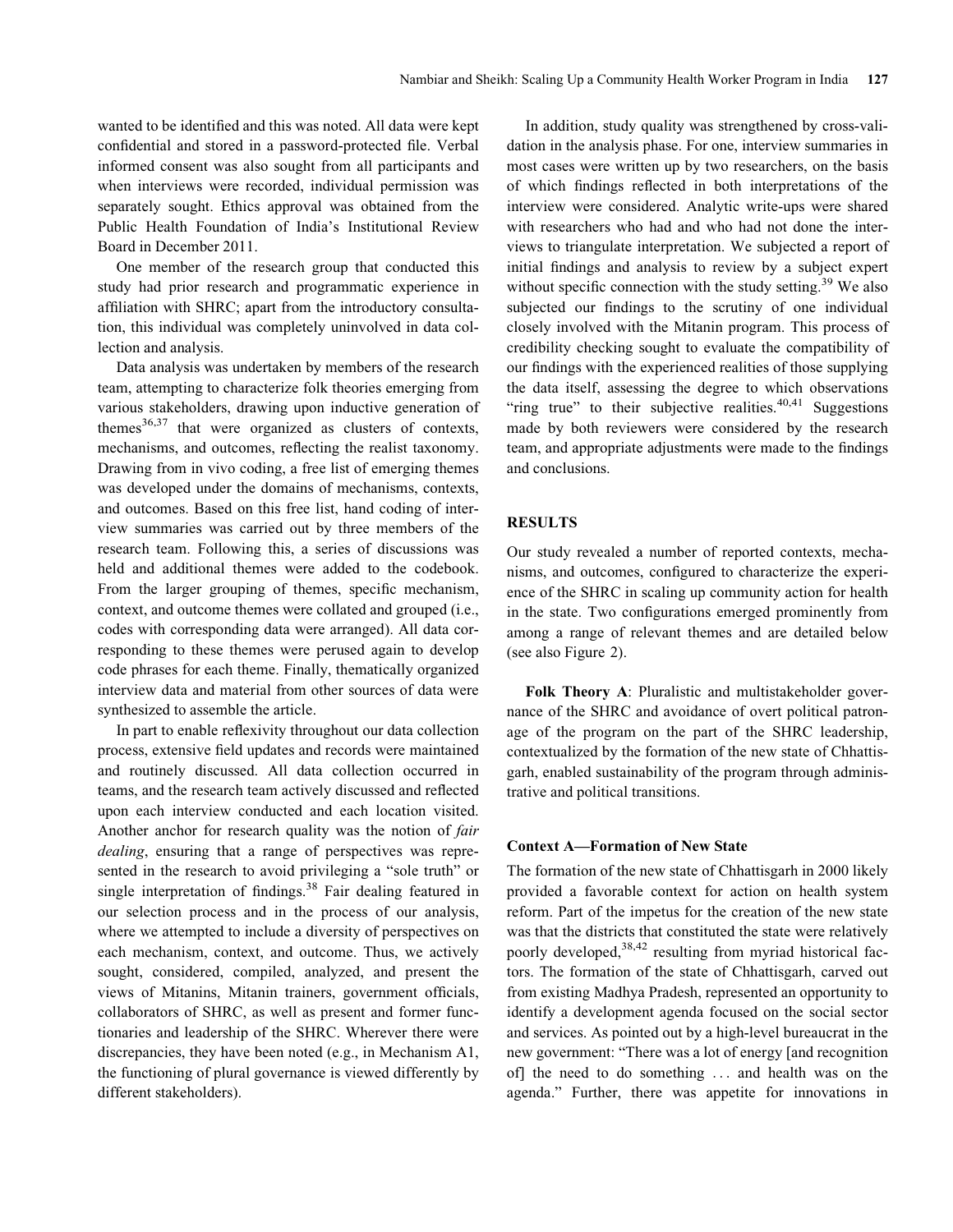wanted to be identified and this was noted. All data were kept confidential and stored in a password-protected file. Verbal informed consent was also sought from all participants and when interviews were recorded, individual permission was separately sought. Ethics approval was obtained from the Public Health Foundation of India's Institutional Review Board in December 2011.

One member of the research group that conducted this study had prior research and programmatic experience in affiliation with SHRC; apart from the introductory consultation, this individual was completely uninvolved in data collection and analysis.

Data analysis was undertaken by members of the research team, attempting to characterize folk theories emerging from various stakeholders, drawing upon inductive generation of themes $36,37$  that were organized as clusters of contexts, mechanisms, and outcomes, reflecting the realist taxonomy. Drawing from in vivo coding, a free list of emerging themes was developed under the domains of mechanisms, contexts, and outcomes. Based on this free list, hand coding of interview summaries was carried out by three members of the research team. Following this, a series of discussions was held and additional themes were added to the codebook. From the larger grouping of themes, specific mechanism, context, and outcome themes were collated and grouped (i.e., codes with corresponding data were arranged). All data corresponding to these themes were perused again to develop code phrases for each theme. Finally, thematically organized interview data and material from other sources of data were synthesized to assemble the article.

In part to enable reflexivity throughout our data collection process, extensive field updates and records were maintained and routinely discussed. All data collection occurred in teams, and the research team actively discussed and reflected upon each interview conducted and each location visited. Another anchor for research quality was the notion of fair dealing, ensuring that a range of perspectives was represented in the research to avoid privileging a "sole truth" or single interpretation of findings.<sup>38</sup> Fair dealing featured in our selection process and in the process of our analysis, where we attempted to include a diversity of perspectives on each mechanism, context, and outcome. Thus, we actively sought, considered, compiled, analyzed, and present the views of Mitanins, Mitanin trainers, government officials, collaborators of SHRC, as well as present and former functionaries and leadership of the SHRC. Wherever there were discrepancies, they have been noted (e.g., in Mechanism A1, the functioning of plural governance is viewed differently by different stakeholders).

In addition, study quality was strengthened by cross-validation in the analysis phase. For one, interview summaries in most cases were written up by two researchers, on the basis of which findings reflected in both interpretations of the interview were considered. Analytic write-ups were shared with researchers who had and who had not done the interviews to triangulate interpretation. We subjected a report of initial findings and analysis to review by a subject expert without specific connection with the study setting.<sup>39</sup> We also subjected our findings to the scrutiny of one individual closely involved with the Mitanin program. This process of credibility checking sought to evaluate the compatibility of our findings with the experienced realities of those supplying the data itself, assessing the degree to which observations "ring true" to their subjective realities. $40,41$  Suggestions made by both reviewers were considered by the research team, and appropriate adjustments were made to the findings and conclusions.

# **RESULTS**

Our study revealed a number of reported contexts, mechanisms, and outcomes, configured to characterize the experience of the SHRC in scaling up community action for health in the state. Two configurations emerged prominently from among a range of relevant themes and are detailed below (see also Figure 2).

Folk Theory A: Pluralistic and multistakeholder governance of the SHRC and avoidance of overt political patronage of the program on the part of the SHRC leadership, contextualized by the formation of the new state of Chhattisgarh, enabled sustainability of the program through administrative and political transitions.

# Context A—Formation of New State

The formation of the new state of Chhattisgarh in 2000 likely provided a favorable context for action on health system reform. Part of the impetus for the creation of the new state was that the districts that constituted the state were relatively poorly developed,<sup>38,42</sup> resulting from myriad historical factors. The formation of the state of Chhattisgarh, carved out from existing Madhya Pradesh, represented an opportunity to identify a development agenda focused on the social sector and services. As pointed out by a high-level bureaucrat in the new government: "There was a lot of energy [and recognition of] the need to do something ... and health was on the agenda." Further, there was appetite for innovations in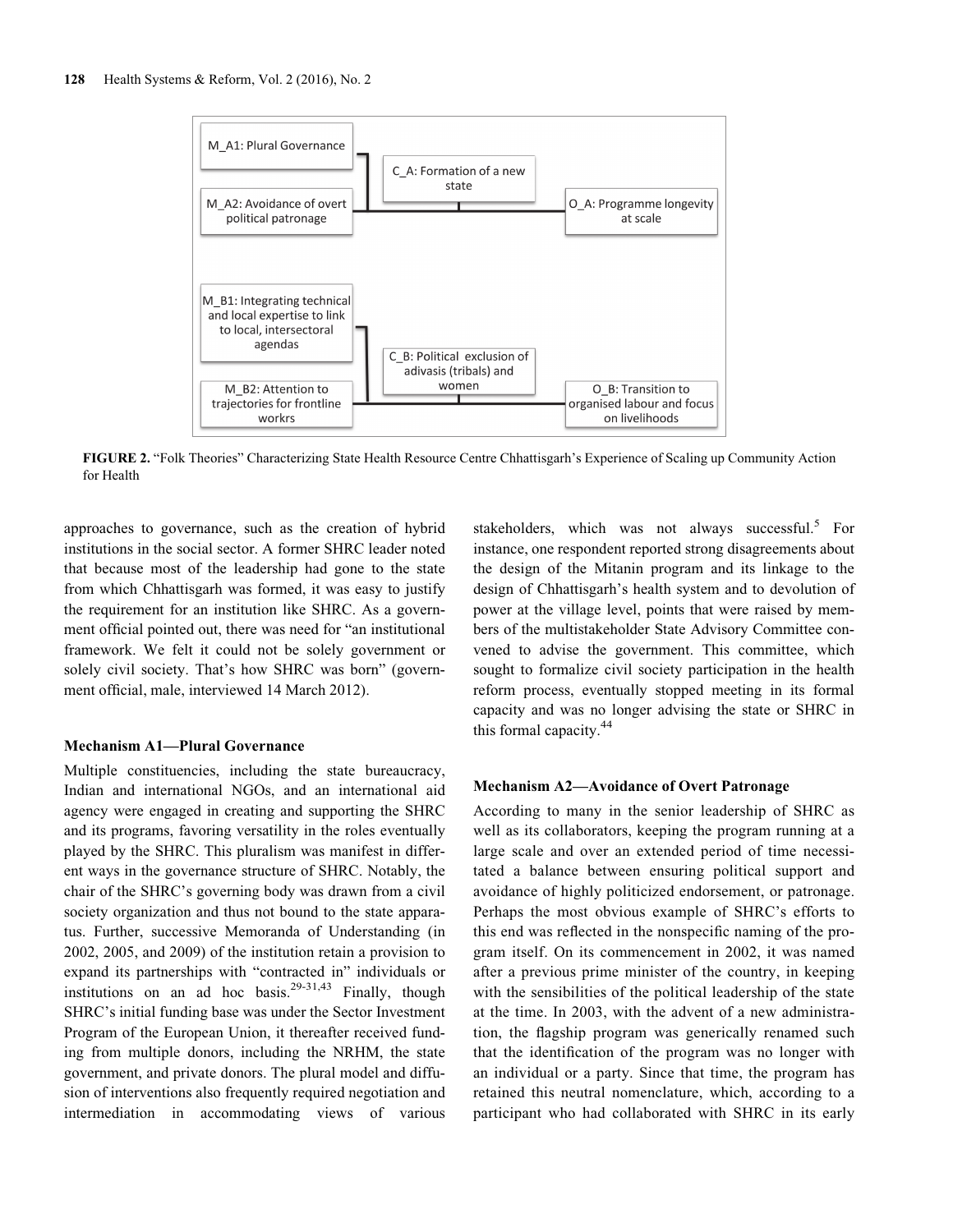

FIGURE 2. "Folk Theories" Characterizing State Health Resource Centre Chhattisgarh's Experience of Scaling up Community Action for Health

approaches to governance, such as the creation of hybrid institutions in the social sector. A former SHRC leader noted that because most of the leadership had gone to the state from which Chhattisgarh was formed, it was easy to justify the requirement for an institution like SHRC. As a government official pointed out, there was need for "an institutional framework. We felt it could not be solely government or solely civil society. That's how SHRC was born" (government official, male, interviewed 14 March 2012).

#### Mechanism A1—Plural Governance

Multiple constituencies, including the state bureaucracy, Indian and international NGOs, and an international aid agency were engaged in creating and supporting the SHRC and its programs, favoring versatility in the roles eventually played by the SHRC. This pluralism was manifest in different ways in the governance structure of SHRC. Notably, the chair of the SHRC's governing body was drawn from a civil society organization and thus not bound to the state apparatus. Further, successive Memoranda of Understanding (in 2002, 2005, and 2009) of the institution retain a provision to expand its partnerships with "contracted in" individuals or institutions on an ad hoc basis.<sup>29-31,43</sup> Finally, though SHRC's initial funding base was under the Sector Investment Program of the European Union, it thereafter received funding from multiple donors, including the NRHM, the state government, and private donors. The plural model and diffusion of interventions also frequently required negotiation and intermediation in accommodating views of various

stakeholders, which was not always successful. $5$  For instance, one respondent reported strong disagreements about the design of the Mitanin program and its linkage to the design of Chhattisgarh's health system and to devolution of power at the village level, points that were raised by members of the multistakeholder State Advisory Committee convened to advise the government. This committee, which sought to formalize civil society participation in the health reform process, eventually stopped meeting in its formal capacity and was no longer advising the state or SHRC in this formal capacity.<sup>44</sup>

#### Mechanism A2—Avoidance of Overt Patronage

According to many in the senior leadership of SHRC as well as its collaborators, keeping the program running at a large scale and over an extended period of time necessitated a balance between ensuring political support and avoidance of highly politicized endorsement, or patronage. Perhaps the most obvious example of SHRC's efforts to this end was reflected in the nonspecific naming of the program itself. On its commencement in 2002, it was named after a previous prime minister of the country, in keeping with the sensibilities of the political leadership of the state at the time. In 2003, with the advent of a new administration, the flagship program was generically renamed such that the identification of the program was no longer with an individual or a party. Since that time, the program has retained this neutral nomenclature, which, according to a participant who had collaborated with SHRC in its early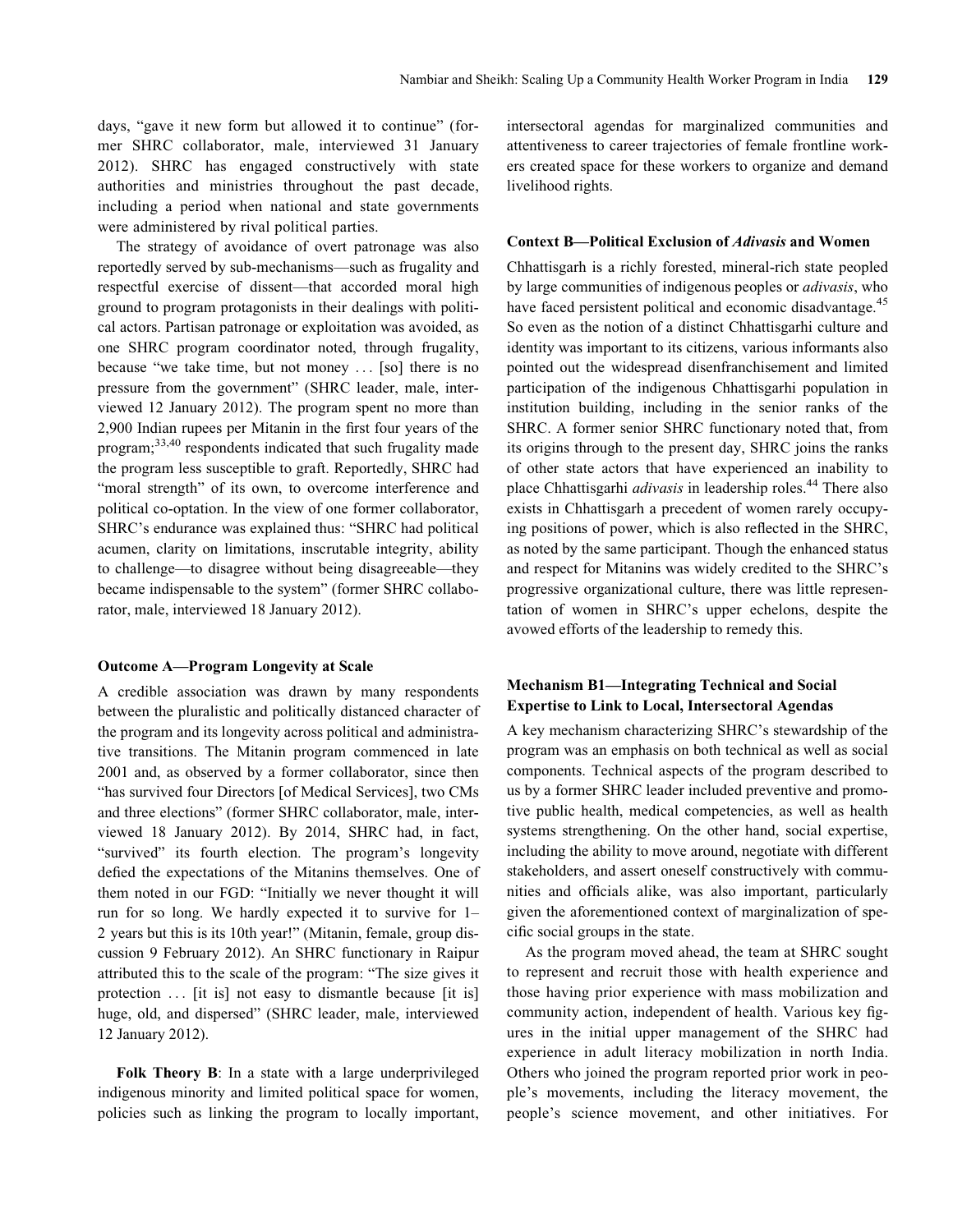days, "gave it new form but allowed it to continue" (former SHRC collaborator, male, interviewed 31 January 2012). SHRC has engaged constructively with state authorities and ministries throughout the past decade, including a period when national and state governments were administered by rival political parties.

The strategy of avoidance of overt patronage was also reportedly served by sub-mechanisms—such as frugality and respectful exercise of dissent—that accorded moral high ground to program protagonists in their dealings with political actors. Partisan patronage or exploitation was avoided, as one SHRC program coordinator noted, through frugality, because "we take time, but not money ... [so] there is no pressure from the government" (SHRC leader, male, interviewed 12 January 2012). The program spent no more than 2,900 Indian rupees per Mitanin in the first four years of the program; $^{33,40}$  respondents indicated that such frugality made the program less susceptible to graft. Reportedly, SHRC had "moral strength" of its own, to overcome interference and political co-optation. In the view of one former collaborator, SHRC's endurance was explained thus: "SHRC had political acumen, clarity on limitations, inscrutable integrity, ability to challenge—to disagree without being disagreeable—they became indispensable to the system" (former SHRC collaborator, male, interviewed 18 January 2012).

#### Outcome A—Program Longevity at Scale

A credible association was drawn by many respondents between the pluralistic and politically distanced character of the program and its longevity across political and administrative transitions. The Mitanin program commenced in late 2001 and, as observed by a former collaborator, since then "has survived four Directors [of Medical Services], two CMs and three elections" (former SHRC collaborator, male, interviewed 18 January 2012). By 2014, SHRC had, in fact, "survived" its fourth election. The program's longevity defied the expectations of the Mitanins themselves. One of them noted in our FGD: "Initially we never thought it will run for so long. We hardly expected it to survive for 1– 2 years but this is its 10th year!" (Mitanin, female, group discussion 9 February 2012). An SHRC functionary in Raipur attributed this to the scale of the program: "The size gives it protection ... [it is] not easy to dismantle because [it is] huge, old, and dispersed" (SHRC leader, male, interviewed 12 January 2012).

Folk Theory B: In a state with a large underprivileged indigenous minority and limited political space for women, policies such as linking the program to locally important, intersectoral agendas for marginalized communities and attentiveness to career trajectories of female frontline workers created space for these workers to organize and demand livelihood rights.

#### Context B—Political Exclusion of Adivasis and Women

Chhattisgarh is a richly forested, mineral-rich state peopled by large communities of indigenous peoples or adivasis, who have faced persistent political and economic disadvantage.<sup>45</sup> So even as the notion of a distinct Chhattisgarhi culture and identity was important to its citizens, various informants also pointed out the widespread disenfranchisement and limited participation of the indigenous Chhattisgarhi population in institution building, including in the senior ranks of the SHRC. A former senior SHRC functionary noted that, from its origins through to the present day, SHRC joins the ranks of other state actors that have experienced an inability to place Chhattisgarhi *adivasis* in leadership roles.<sup>44</sup> There also exists in Chhattisgarh a precedent of women rarely occupying positions of power, which is also reflected in the SHRC, as noted by the same participant. Though the enhanced status and respect for Mitanins was widely credited to the SHRC's progressive organizational culture, there was little representation of women in SHRC's upper echelons, despite the avowed efforts of the leadership to remedy this.

# Mechanism B1—Integrating Technical and Social Expertise to Link to Local, Intersectoral Agendas

A key mechanism characterizing SHRC's stewardship of the program was an emphasis on both technical as well as social components. Technical aspects of the program described to us by a former SHRC leader included preventive and promotive public health, medical competencies, as well as health systems strengthening. On the other hand, social expertise, including the ability to move around, negotiate with different stakeholders, and assert oneself constructively with communities and officials alike, was also important, particularly given the aforementioned context of marginalization of specific social groups in the state.

As the program moved ahead, the team at SHRC sought to represent and recruit those with health experience and those having prior experience with mass mobilization and community action, independent of health. Various key figures in the initial upper management of the SHRC had experience in adult literacy mobilization in north India. Others who joined the program reported prior work in people's movements, including the literacy movement, the people's science movement, and other initiatives. For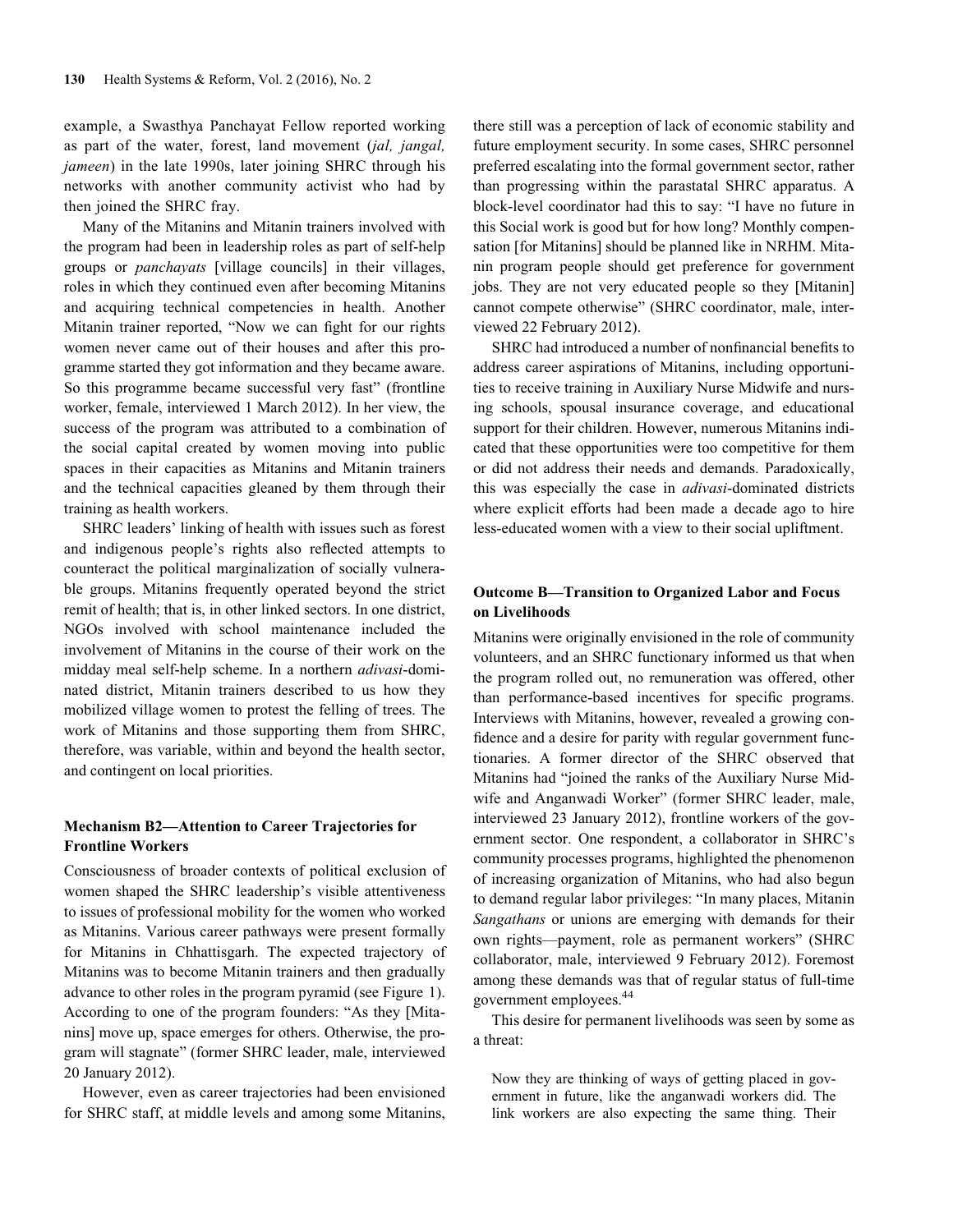example, a Swasthya Panchayat Fellow reported working as part of the water, forest, land movement (jal, jangal, jameen) in the late 1990s, later joining SHRC through his networks with another community activist who had by then joined the SHRC fray.

Many of the Mitanins and Mitanin trainers involved with the program had been in leadership roles as part of self-help groups or panchayats [village councils] in their villages, roles in which they continued even after becoming Mitanins and acquiring technical competencies in health. Another Mitanin trainer reported, "Now we can fight for our rights women never came out of their houses and after this programme started they got information and they became aware. So this programme became successful very fast" (frontline worker, female, interviewed 1 March 2012). In her view, the success of the program was attributed to a combination of the social capital created by women moving into public spaces in their capacities as Mitanins and Mitanin trainers and the technical capacities gleaned by them through their training as health workers.

SHRC leaders' linking of health with issues such as forest and indigenous people's rights also reflected attempts to counteract the political marginalization of socially vulnerable groups. Mitanins frequently operated beyond the strict remit of health; that is, in other linked sectors. In one district, NGOs involved with school maintenance included the involvement of Mitanins in the course of their work on the midday meal self-help scheme. In a northern adivasi-dominated district, Mitanin trainers described to us how they mobilized village women to protest the felling of trees. The work of Mitanins and those supporting them from SHRC, therefore, was variable, within and beyond the health sector, and contingent on local priorities.

### Mechanism B2—Attention to Career Trajectories for Frontline Workers

Consciousness of broader contexts of political exclusion of women shaped the SHRC leadership's visible attentiveness to issues of professional mobility for the women who worked as Mitanins. Various career pathways were present formally for Mitanins in Chhattisgarh. The expected trajectory of Mitanins was to become Mitanin trainers and then gradually advance to other roles in the program pyramid (see Figure 1). According to one of the program founders: "As they [Mitanins] move up, space emerges for others. Otherwise, the program will stagnate" (former SHRC leader, male, interviewed 20 January 2012).

However, even as career trajectories had been envisioned for SHRC staff, at middle levels and among some Mitanins,

there still was a perception of lack of economic stability and future employment security. In some cases, SHRC personnel preferred escalating into the formal government sector, rather than progressing within the parastatal SHRC apparatus. A block-level coordinator had this to say: "I have no future in this Social work is good but for how long? Monthly compensation [for Mitanins] should be planned like in NRHM. Mitanin program people should get preference for government jobs. They are not very educated people so they [Mitanin] cannot compete otherwise" (SHRC coordinator, male, interviewed 22 February 2012).

SHRC had introduced a number of nonfinancial benefits to address career aspirations of Mitanins, including opportunities to receive training in Auxiliary Nurse Midwife and nursing schools, spousal insurance coverage, and educational support for their children. However, numerous Mitanins indicated that these opportunities were too competitive for them or did not address their needs and demands. Paradoxically, this was especially the case in *adivasi*-dominated districts where explicit efforts had been made a decade ago to hire less-educated women with a view to their social upliftment.

# Outcome B—Transition to Organized Labor and Focus on Livelihoods

Mitanins were originally envisioned in the role of community volunteers, and an SHRC functionary informed us that when the program rolled out, no remuneration was offered, other than performance-based incentives for specific programs. Interviews with Mitanins, however, revealed a growing confidence and a desire for parity with regular government functionaries. A former director of the SHRC observed that Mitanins had "joined the ranks of the Auxiliary Nurse Midwife and Anganwadi Worker" (former SHRC leader, male, interviewed 23 January 2012), frontline workers of the government sector. One respondent, a collaborator in SHRC's community processes programs, highlighted the phenomenon of increasing organization of Mitanins, who had also begun to demand regular labor privileges: "In many places, Mitanin Sangathans or unions are emerging with demands for their own rights—payment, role as permanent workers" (SHRC collaborator, male, interviewed 9 February 2012). Foremost among these demands was that of regular status of full-time government employees.44

This desire for permanent livelihoods was seen by some as a threat:

Now they are thinking of ways of getting placed in government in future, like the anganwadi workers did. The link workers are also expecting the same thing. Their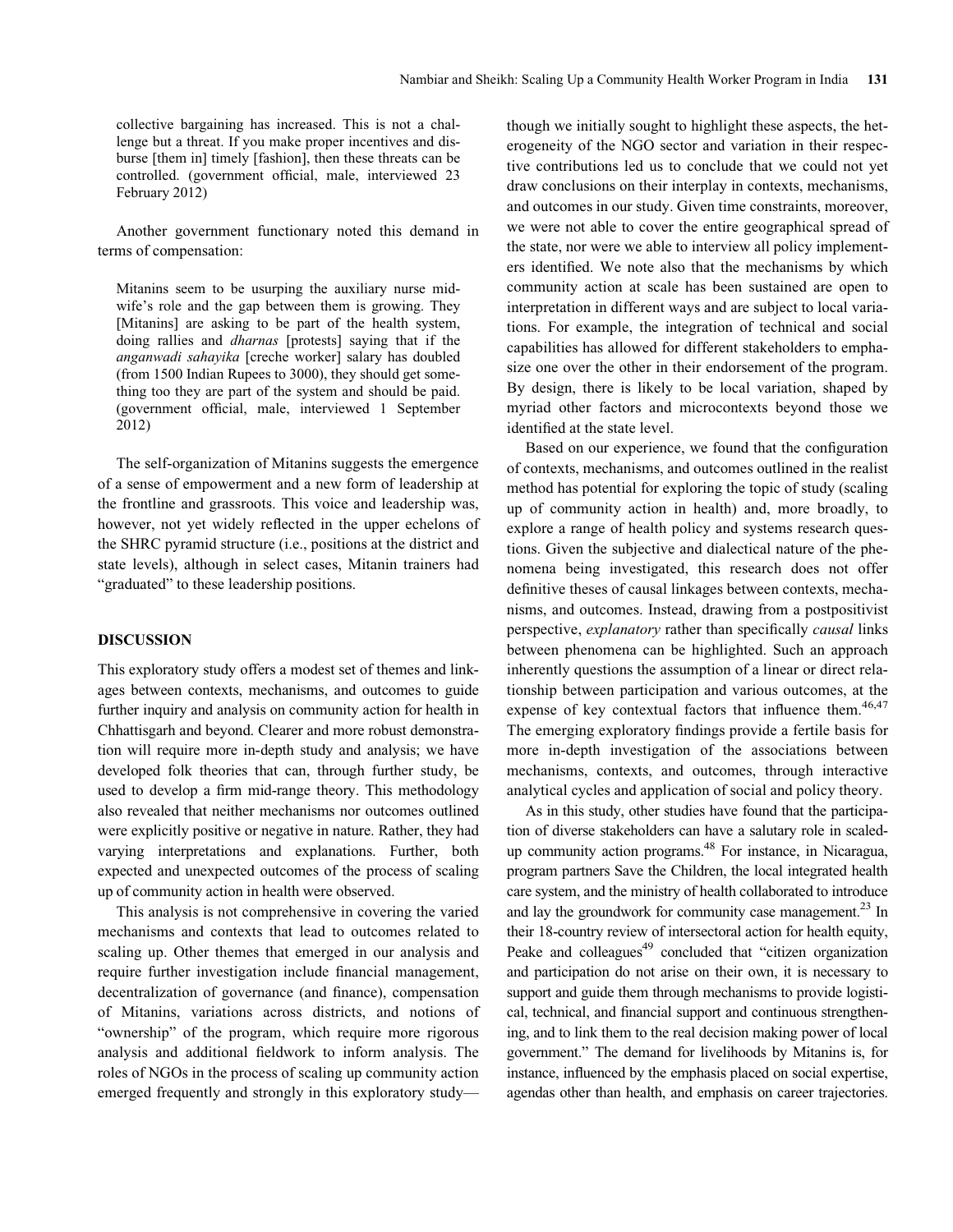collective bargaining has increased. This is not a challenge but a threat. If you make proper incentives and disburse [them in] timely [fashion], then these threats can be controlled. (government official, male, interviewed 23 February 2012)

Another government functionary noted this demand in terms of compensation:

Mitanins seem to be usurping the auxiliary nurse midwife's role and the gap between them is growing. They [Mitanins] are asking to be part of the health system, doing rallies and dharnas [protests] saying that if the anganwadi sahayika [creche worker] salary has doubled (from 1500 Indian Rupees to 3000), they should get something too they are part of the system and should be paid. (government official, male, interviewed 1 September 2012)

The self-organization of Mitanins suggests the emergence of a sense of empowerment and a new form of leadership at the frontline and grassroots. This voice and leadership was, however, not yet widely reflected in the upper echelons of the SHRC pyramid structure (i.e., positions at the district and state levels), although in select cases, Mitanin trainers had "graduated" to these leadership positions.

#### DISCUSSION

This exploratory study offers a modest set of themes and linkages between contexts, mechanisms, and outcomes to guide further inquiry and analysis on community action for health in Chhattisgarh and beyond. Clearer and more robust demonstration will require more in-depth study and analysis; we have developed folk theories that can, through further study, be used to develop a firm mid-range theory. This methodology also revealed that neither mechanisms nor outcomes outlined were explicitly positive or negative in nature. Rather, they had varying interpretations and explanations. Further, both expected and unexpected outcomes of the process of scaling up of community action in health were observed.

This analysis is not comprehensive in covering the varied mechanisms and contexts that lead to outcomes related to scaling up. Other themes that emerged in our analysis and require further investigation include financial management, decentralization of governance (and finance), compensation of Mitanins, variations across districts, and notions of "ownership" of the program, which require more rigorous analysis and additional fieldwork to inform analysis. The roles of NGOs in the process of scaling up community action emerged frequently and strongly in this exploratory studythough we initially sought to highlight these aspects, the heterogeneity of the NGO sector and variation in their respective contributions led us to conclude that we could not yet draw conclusions on their interplay in contexts, mechanisms, and outcomes in our study. Given time constraints, moreover, we were not able to cover the entire geographical spread of the state, nor were we able to interview all policy implementers identified. We note also that the mechanisms by which community action at scale has been sustained are open to interpretation in different ways and are subject to local variations. For example, the integration of technical and social capabilities has allowed for different stakeholders to emphasize one over the other in their endorsement of the program. By design, there is likely to be local variation, shaped by myriad other factors and microcontexts beyond those we identified at the state level.

Based on our experience, we found that the configuration of contexts, mechanisms, and outcomes outlined in the realist method has potential for exploring the topic of study (scaling up of community action in health) and, more broadly, to explore a range of health policy and systems research questions. Given the subjective and dialectical nature of the phenomena being investigated, this research does not offer definitive theses of causal linkages between contexts, mechanisms, and outcomes. Instead, drawing from a postpositivist perspective, explanatory rather than specifically causal links between phenomena can be highlighted. Such an approach inherently questions the assumption of a linear or direct relationship between participation and various outcomes, at the expense of key contextual factors that influence them.<sup>46,47</sup> The emerging exploratory findings provide a fertile basis for more in-depth investigation of the associations between mechanisms, contexts, and outcomes, through interactive analytical cycles and application of social and policy theory.

As in this study, other studies have found that the participation of diverse stakeholders can have a salutary role in scaledup community action programs.48 For instance, in Nicaragua, program partners Save the Children, the local integrated health care system, and the ministry of health collaborated to introduce and lay the groundwork for community case management.<sup>23</sup> In their 18-country review of intersectoral action for health equity, Peake and colleagues $49$  concluded that "citizen organization" and participation do not arise on their own, it is necessary to support and guide them through mechanisms to provide logistical, technical, and financial support and continuous strengthening, and to link them to the real decision making power of local government." The demand for livelihoods by Mitanins is, for instance, influenced by the emphasis placed on social expertise, agendas other than health, and emphasis on career trajectories.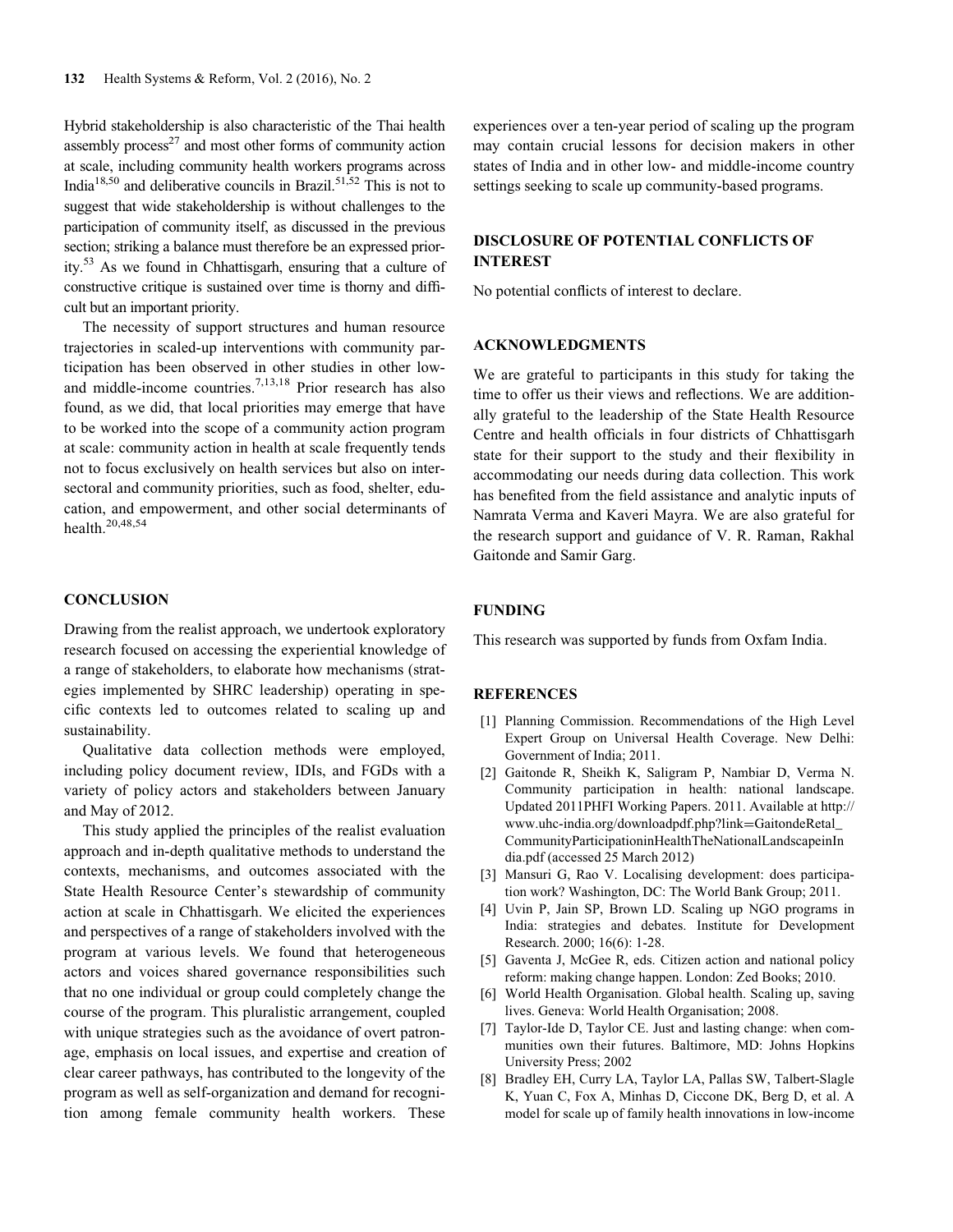Hybrid stakeholdership is also characteristic of the Thai health assembly process<sup>27</sup> and most other forms of community action at scale, including community health workers programs across India<sup>18,50</sup> and deliberative councils in Brazil.<sup>51,52</sup> This is not to suggest that wide stakeholdership is without challenges to the participation of community itself, as discussed in the previous section; striking a balance must therefore be an expressed priority.53 As we found in Chhattisgarh, ensuring that a culture of constructive critique is sustained over time is thorny and difficult but an important priority.

The necessity of support structures and human resource trajectories in scaled-up interventions with community participation has been observed in other studies in other lowand middle-income countries.7,13,18 Prior research has also found, as we did, that local priorities may emerge that have to be worked into the scope of a community action program at scale: community action in health at scale frequently tends not to focus exclusively on health services but also on intersectoral and community priorities, such as food, shelter, education, and empowerment, and other social determinants of health.20,48,54

#### **CONCLUSION**

Drawing from the realist approach, we undertook exploratory research focused on accessing the experiential knowledge of a range of stakeholders, to elaborate how mechanisms (strategies implemented by SHRC leadership) operating in specific contexts led to outcomes related to scaling up and sustainability.

Qualitative data collection methods were employed, including policy document review, IDIs, and FGDs with a variety of policy actors and stakeholders between January and May of 2012.

This study applied the principles of the realist evaluation approach and in-depth qualitative methods to understand the contexts, mechanisms, and outcomes associated with the State Health Resource Center's stewardship of community action at scale in Chhattisgarh. We elicited the experiences and perspectives of a range of stakeholders involved with the program at various levels. We found that heterogeneous actors and voices shared governance responsibilities such that no one individual or group could completely change the course of the program. This pluralistic arrangement, coupled with unique strategies such as the avoidance of overt patronage, emphasis on local issues, and expertise and creation of clear career pathways, has contributed to the longevity of the program as well as self-organization and demand for recognition among female community health workers. These

experiences over a ten-year period of scaling up the program may contain crucial lessons for decision makers in other states of India and in other low- and middle-income country settings seeking to scale up community-based programs.

# DISCLOSURE OF POTENTIAL CONFLICTS OF INTEREST

No potential conflicts of interest to declare.

#### ACKNOWLEDGMENTS

We are grateful to participants in this study for taking the time to offer us their views and reflections. We are additionally grateful to the leadership of the State Health Resource Centre and health officials in four districts of Chhattisgarh state for their support to the study and their flexibility in accommodating our needs during data collection. This work has benefited from the field assistance and analytic inputs of Namrata Verma and Kaveri Mayra. We are also grateful for the research support and guidance of V. R. Raman, Rakhal Gaitonde and Samir Garg.

#### FUNDING

This research was supported by funds from Oxfam India.

#### REFERENCES

- [1] Planning Commission. Recommendations of the High Level Expert Group on Universal Health Coverage. New Delhi: Government of India; 2011.
- [2] Gaitonde R, Sheikh K, Saligram P, Nambiar D, Verma N. Community participation in health: national landscape. Updated 2011PHFI Working Papers. 2011. Available at http:// www.uhc-india.org/downloadpdf.php?link=GaitondeRetal\_ CommunityParticipationinHealthTheNationalLandscapeinIn dia.pdf (accessed 25 March 2012)
- [3] Mansuri G, Rao V. Localising development: does participation work? Washington, DC: The World Bank Group; 2011.
- [4] Uvin P, Jain SP, Brown LD. Scaling up NGO programs in India: strategies and debates. Institute for Development Research. 2000; 16(6): 1-28.
- [5] Gaventa J, McGee R, eds. Citizen action and national policy reform: making change happen. London: Zed Books; 2010.
- [6] World Health Organisation. Global health. Scaling up, saving lives. Geneva: World Health Organisation; 2008.
- [7] Taylor-Ide D, Taylor CE. Just and lasting change: when communities own their futures. Baltimore, MD: Johns Hopkins University Press; 2002
- [8] Bradley EH, Curry LA, Taylor LA, Pallas SW, Talbert-Slagle K, Yuan C, Fox A, Minhas D, Ciccone DK, Berg D, et al. A model for scale up of family health innovations in low-income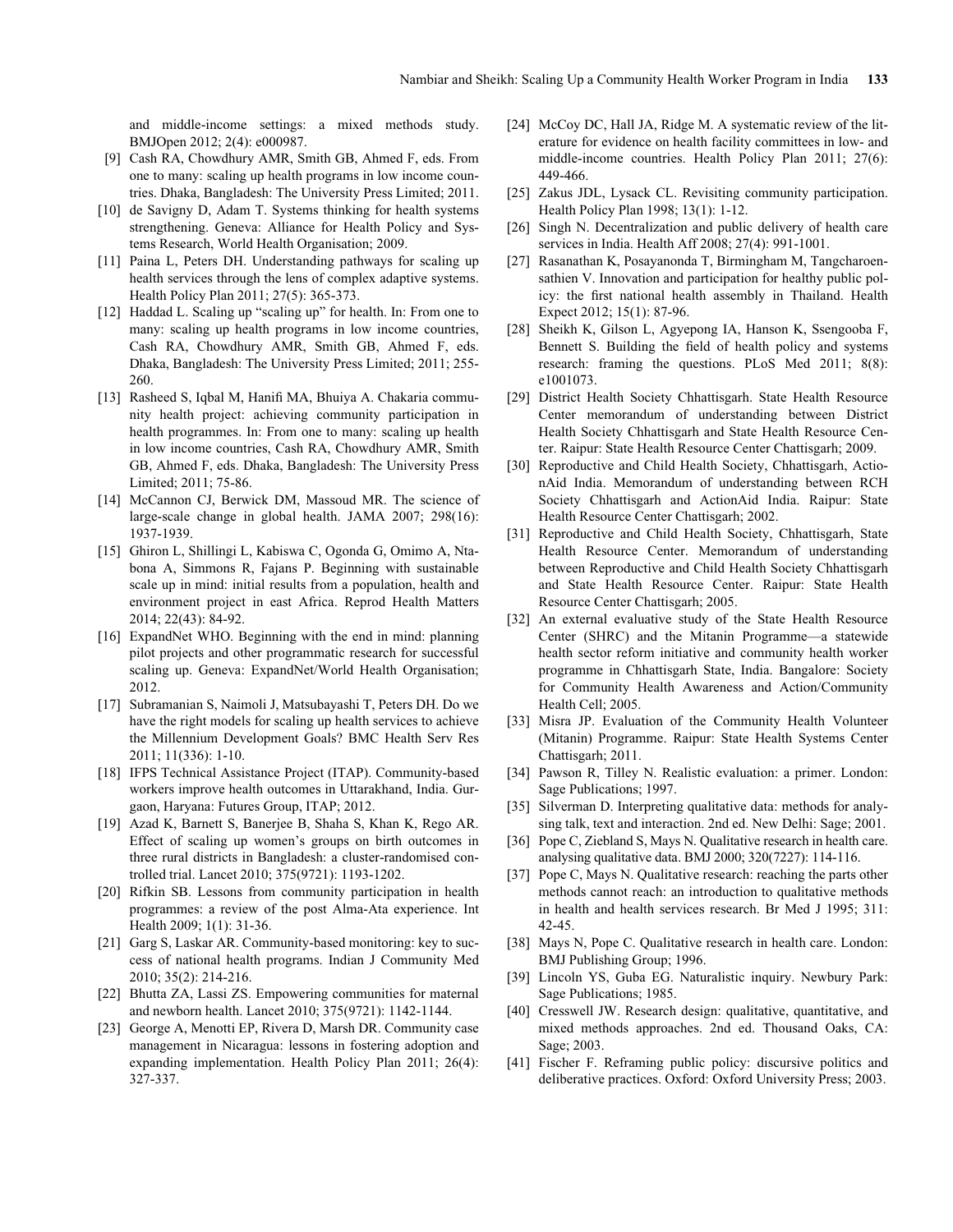and middle-income settings: a mixed methods study. BMJOpen 2012; 2(4): e000987.

- [9] Cash RA, Chowdhury AMR, Smith GB, Ahmed F, eds. From one to many: scaling up health programs in low income countries. Dhaka, Bangladesh: The University Press Limited; 2011.
- [10] de Savigny D, Adam T. Systems thinking for health systems strengthening. Geneva: Alliance for Health Policy and Systems Research, World Health Organisation; 2009.
- [11] Paina L, Peters DH. Understanding pathways for scaling up health services through the lens of complex adaptive systems. Health Policy Plan 2011; 27(5): 365-373.
- [12] Haddad L. Scaling up "scaling up" for health. In: From one to many: scaling up health programs in low income countries, Cash RA, Chowdhury AMR, Smith GB, Ahmed F, eds. Dhaka, Bangladesh: The University Press Limited; 2011; 255- 260.
- [13] Rasheed S, Iqbal M, Hanifi MA, Bhuiya A. Chakaria community health project: achieving community participation in health programmes. In: From one to many: scaling up health in low income countries, Cash RA, Chowdhury AMR, Smith GB, Ahmed F, eds. Dhaka, Bangladesh: The University Press Limited; 2011; 75-86.
- [14] McCannon CJ, Berwick DM, Massoud MR. The science of large-scale change in global health. JAMA 2007; 298(16): 1937-1939.
- [15] Ghiron L, Shillingi L, Kabiswa C, Ogonda G, Omimo A, Ntabona A, Simmons R, Fajans P. Beginning with sustainable scale up in mind: initial results from a population, health and environment project in east Africa. Reprod Health Matters 2014; 22(43): 84-92.
- [16] ExpandNet WHO. Beginning with the end in mind: planning pilot projects and other programmatic research for successful scaling up. Geneva: ExpandNet/World Health Organisation; 2012.
- [17] Subramanian S, Naimoli J, Matsubayashi T, Peters DH. Do we have the right models for scaling up health services to achieve the Millennium Development Goals? BMC Health Serv Res 2011; 11(336): 1-10.
- [18] IFPS Technical Assistance Project (ITAP). Community-based workers improve health outcomes in Uttarakhand, India. Gurgaon, Haryana: Futures Group, ITAP; 2012.
- [19] Azad K, Barnett S, Banerjee B, Shaha S, Khan K, Rego AR. Effect of scaling up women's groups on birth outcomes in three rural districts in Bangladesh: a cluster-randomised controlled trial. Lancet 2010; 375(9721): 1193-1202.
- [20] Rifkin SB. Lessons from community participation in health programmes: a review of the post Alma-Ata experience. Int Health 2009; 1(1): 31-36.
- [21] Garg S, Laskar AR. Community-based monitoring: key to success of national health programs. Indian J Community Med 2010; 35(2): 214-216.
- [22] Bhutta ZA, Lassi ZS. Empowering communities for maternal and newborn health. Lancet 2010; 375(9721): 1142-1144.
- [23] George A, Menotti EP, Rivera D, Marsh DR. Community case management in Nicaragua: lessons in fostering adoption and expanding implementation. Health Policy Plan 2011; 26(4): 327-337.
- [24] McCoy DC, Hall JA, Ridge M. A systematic review of the literature for evidence on health facility committees in low- and middle-income countries. Health Policy Plan 2011; 27(6): 449-466.
- [25] Zakus JDL, Lysack CL. Revisiting community participation. Health Policy Plan 1998; 13(1): 1-12.
- [26] Singh N. Decentralization and public delivery of health care services in India. Health Aff 2008; 27(4): 991-1001.
- [27] Rasanathan K, Posayanonda T, Birmingham M, Tangcharoensathien V. Innovation and participation for healthy public policy: the first national health assembly in Thailand. Health Expect 2012; 15(1): 87-96.
- [28] Sheikh K, Gilson L, Agyepong IA, Hanson K, Ssengooba F, Bennett S. Building the field of health policy and systems research: framing the questions. PLoS Med 2011; 8(8): e1001073.
- [29] District Health Society Chhattisgarh. State Health Resource Center memorandum of understanding between District Health Society Chhattisgarh and State Health Resource Center. Raipur: State Health Resource Center Chattisgarh; 2009.
- [30] Reproductive and Child Health Society, Chhattisgarh, ActionAid India. Memorandum of understanding between RCH Society Chhattisgarh and ActionAid India. Raipur: State Health Resource Center Chattisgarh; 2002.
- [31] Reproductive and Child Health Society, Chhattisgarh, State Health Resource Center. Memorandum of understanding between Reproductive and Child Health Society Chhattisgarh and State Health Resource Center. Raipur: State Health Resource Center Chattisgarh; 2005.
- [32] An external evaluative study of the State Health Resource Center (SHRC) and the Mitanin Programme—a statewide health sector reform initiative and community health worker programme in Chhattisgarh State, India. Bangalore: Society for Community Health Awareness and Action/Community Health Cell; 2005.
- [33] Misra JP. Evaluation of the Community Health Volunteer (Mitanin) Programme. Raipur: State Health Systems Center Chattisgarh; 2011.
- [34] Pawson R, Tilley N. Realistic evaluation: a primer. London: Sage Publications; 1997.
- [35] Silverman D. Interpreting qualitative data: methods for analysing talk, text and interaction. 2nd ed. New Delhi: Sage; 2001.
- [36] Pope C, Ziebland S, Mays N. Qualitative research in health care. analysing qualitative data. BMJ 2000; 320(7227): 114-116.
- [37] Pope C, Mays N. Qualitative research: reaching the parts other methods cannot reach: an introduction to qualitative methods in health and health services research. Br Med J 1995; 311: 42-45.
- [38] Mays N, Pope C. Qualitative research in health care. London: BMJ Publishing Group; 1996.
- [39] Lincoln YS, Guba EG. Naturalistic inquiry. Newbury Park: Sage Publications; 1985.
- [40] Cresswell JW. Research design: qualitative, quantitative, and mixed methods approaches. 2nd ed. Thousand Oaks, CA: Sage; 2003.
- [41] Fischer F. Reframing public policy: discursive politics and deliberative practices. Oxford: Oxford University Press; 2003.